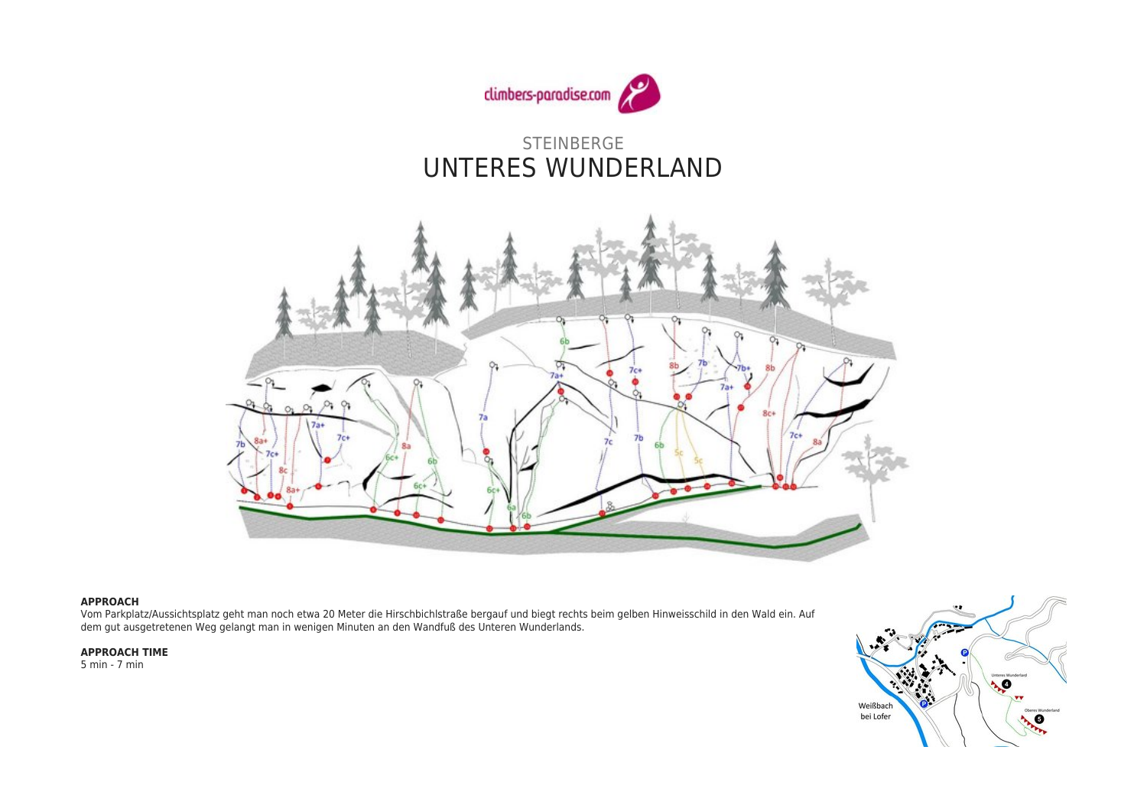

STEINBERGE UNTERES WUNDERLAND



## **APPROACH**

Vom Parkplatz/Aussichtsplatz geht man noch etwa 20 Meter die Hirschbichlstraße bergauf und biegt rechts beim gelben Hinweisschild in den Wald ein. Auf dem gut ausgetretenen Weg gelangt man in wenigen Minuten an den Wandfuß des Unteren Wunderlands.

## **APPROACH TIME**

5 min - 7 min

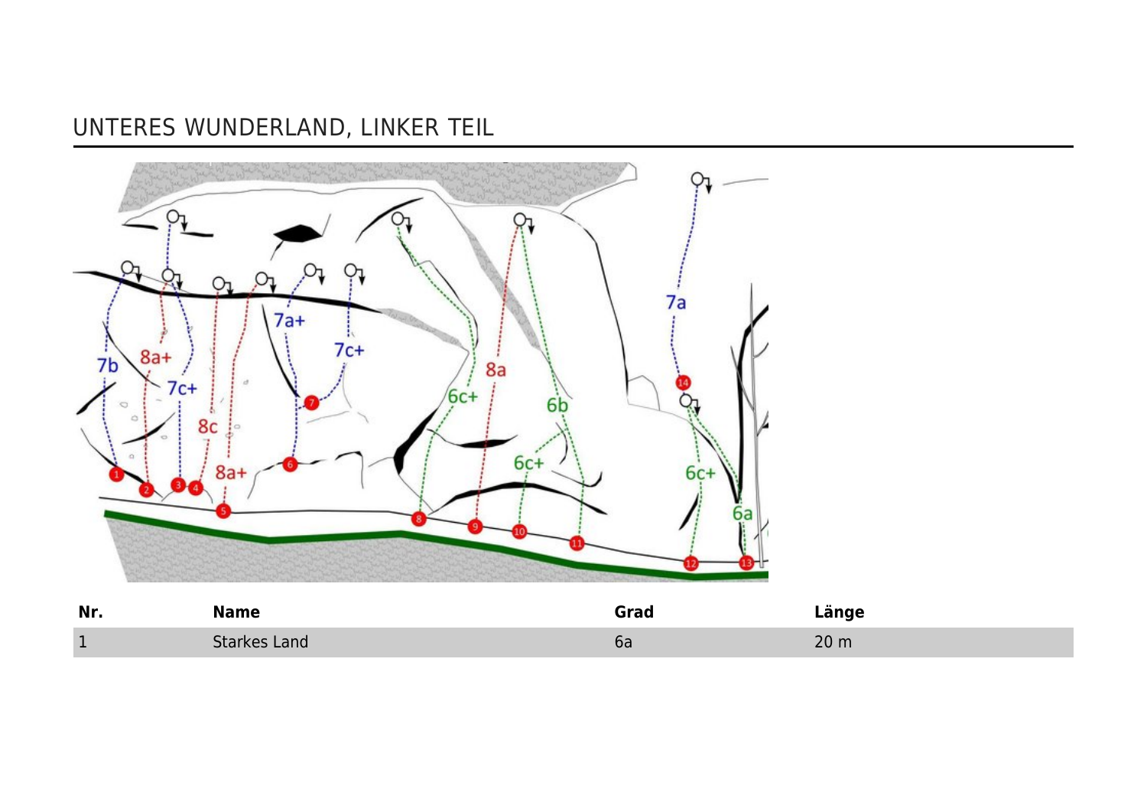## UNTERES WUNDERLAND, LINKER TEIL



| Nr. | <b>lame</b> | ìrad | nae<br>ran    |
|-----|-------------|------|---------------|
|     | Land        | oa   | 20m<br>ZU III |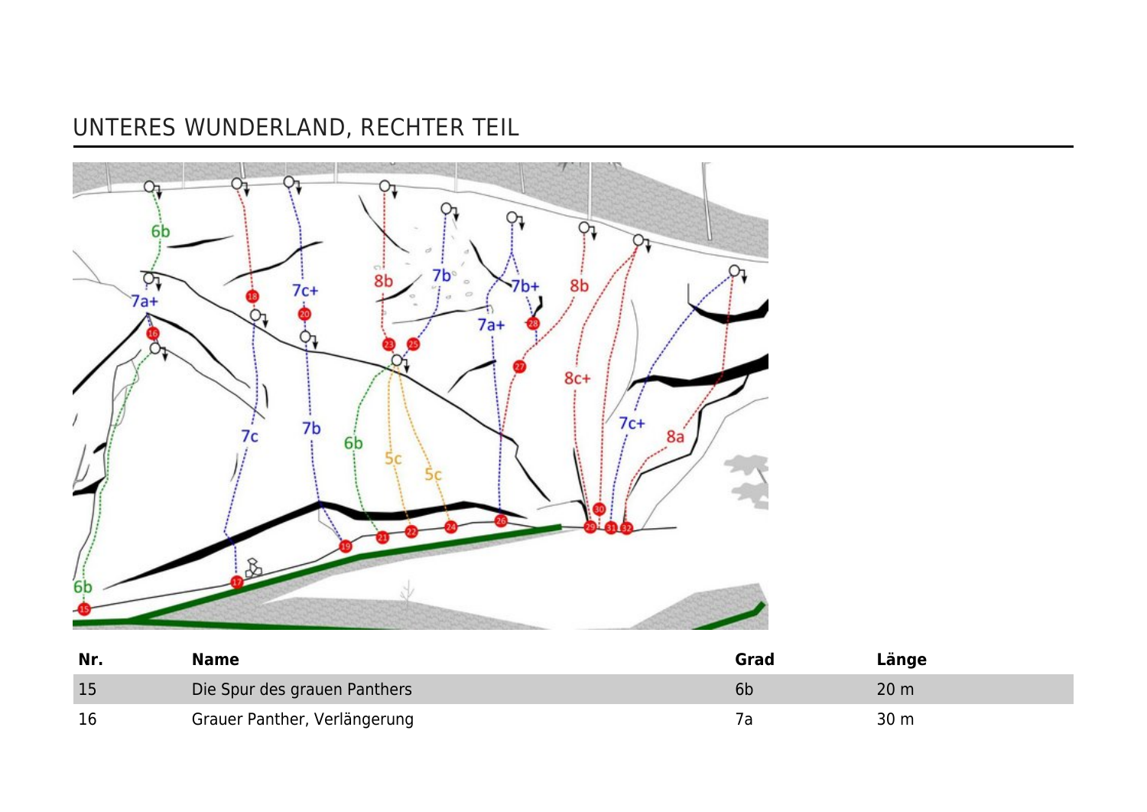## UNTERES WUNDERLAND, RECHTER TEIL



| Nr. | <b>Name</b>                  | Grad | Länge           |
|-----|------------------------------|------|-----------------|
| 15  | Die Spur des grauen Panthers | bb   | 20 <sub>m</sub> |
| 16  | Grauer Panther, Verlängerung |      | 30 m            |